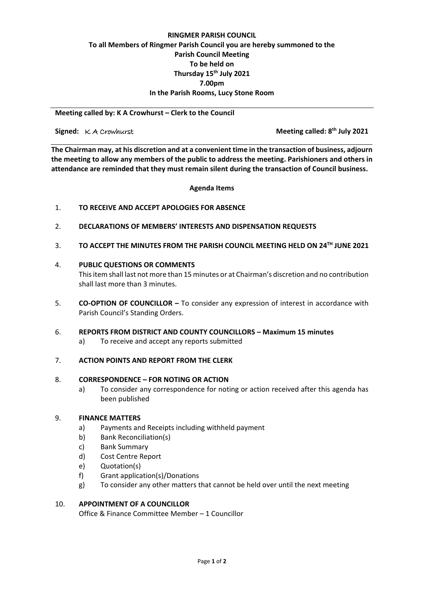# **RINGMER PARISH COUNCIL To all Members of Ringmer Parish Council you are hereby summoned to the Parish Council Meeting To be held on Thursday 15th July 2021 7.00pm In the Parish Rooms, Lucy Stone Room**

**Meeting called by: K A Crowhurst – Clerk to the Council** 

**Signed:**  $K A$  Crowhurst **Meeting called:** 8<sup>th</sup> **July 2021** 

**The Chairman may, at his discretion and at a convenient time in the transaction of business, adjourn the meeting to allow any members of the public to address the meeting. Parishioners and others in attendance are reminded that they must remain silent during the transaction of Council business.**

### **Agenda Items**

## 1. **TO RECEIVE AND ACCEPT APOLOGIES FOR ABSENCE**

- 2. **DECLARATIONS OF MEMBERS' INTERESTS AND DISPENSATION REQUESTS**
- 3. **TO ACCEPT THE MINUTES FROM THE PARISH COUNCIL MEETING HELD ON 24TH JUNE 2021**

### 4. **PUBLIC QUESTIONS OR COMMENTS**

This item shall last not more than 15 minutes or at Chairman's discretion and no contribution shall last more than 3 minutes.

- 5. **CO-OPTION OF COUNCILLOR –** To consider any expression of interest in accordance with Parish Council's Standing Orders.
- 6. **REPORTS FROM DISTRICT AND COUNTY COUNCILLORS – Maximum 15 minutes**
	- a) To receive and accept any reports submitted

### 7. **ACTION POINTS AND REPORT FROM THE CLERK**

### 8. **CORRESPONDENCE – FOR NOTING OR ACTION**

a) To consider any correspondence for noting or action received after this agenda has been published

### 9. **FINANCE MATTERS**

- a) Payments and Receipts including withheld payment
- b) Bank Reconciliation(s)
- c) Bank Summary
- d) Cost Centre Report
- e) Quotation(s)
- f) Grant application(s)/Donations
- g) To consider any other matters that cannot be held over until the next meeting

### 10. **APPOINTMENT OF A COUNCILLOR**

Office & Finance Committee Member – 1 Councillor